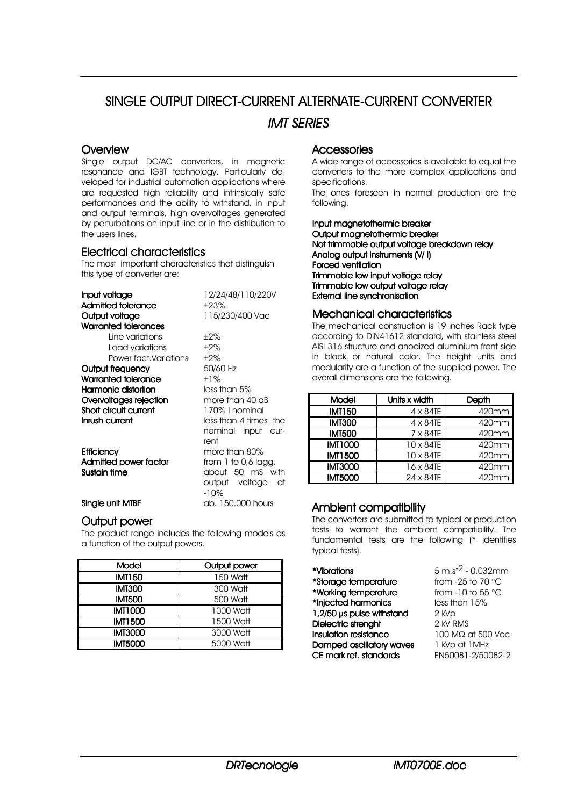# SINGLE OUTPUT DIRECT-CURRENT ALTERNATE-CURRENT CONVERTER *IMT SERIES*

#### **Overview**

Single output DC/AC converters, in magnetic resonance and IGBT technology. Particularly developed for industrial automation applications where are requested high reliability and intrinsically safe performances and the ability to withstand, in input and output terminals, high overvoltages generated by perturbations on input line or in the distribution to the users lines.

#### Electrical characteristics

The most important characteristics that distinguish this type of converter are:

| Input voltage                     | 12/24/48/110/220V     |  |  |  |  |  |
|-----------------------------------|-----------------------|--|--|--|--|--|
| Admitted tolerance                | $\pm 23\%$            |  |  |  |  |  |
| 115/230/400 Vac<br>Output voltage |                       |  |  |  |  |  |
| Warranted tolerances              |                       |  |  |  |  |  |
| Line variations                   | $\pm 2\%$             |  |  |  |  |  |
| Load variations                   | $\pm 2\%$             |  |  |  |  |  |
| Power fact Variations             | $\pm 2\%$             |  |  |  |  |  |
| Output frequency                  | 50/60 Hz              |  |  |  |  |  |
| Warranted tolerance               | $+1\%$                |  |  |  |  |  |
| Harmonic distortion               | less than 5%          |  |  |  |  |  |
| Overvoltages rejection            | more than 40 dB       |  |  |  |  |  |
| Short circuit current             | 170% I nominal        |  |  |  |  |  |
| Inrush current                    | less than 4 times the |  |  |  |  |  |
|                                   | nominal input cur-    |  |  |  |  |  |
|                                   | rent                  |  |  |  |  |  |
| <b>Efficiency</b>                 | more than 80%         |  |  |  |  |  |
| Admitted power factor             | from 1 to 0,6 lagg.   |  |  |  |  |  |
| Sustain time                      | about 50 mS with      |  |  |  |  |  |
|                                   | output voltage<br>at  |  |  |  |  |  |
|                                   | $-10%$                |  |  |  |  |  |
| Single unit MTBF                  | ab. 150,000 hours     |  |  |  |  |  |

#### Output power

The product range includes the following models as a function of the output powers.

| Model          | Output power |  |  |  |  |
|----------------|--------------|--|--|--|--|
| <b>IMT150</b>  | 150 Watt     |  |  |  |  |
| <b>IMT300</b>  | 300 Watt     |  |  |  |  |
| <b>IMT500</b>  | 500 Watt     |  |  |  |  |
| <b>IMT1000</b> | 1000 Watt    |  |  |  |  |
| <b>IMT1500</b> | 1500 Watt    |  |  |  |  |
| <b>IMT3000</b> | 3000 Watt    |  |  |  |  |
| <b>IMT5000</b> | 5000 Watt    |  |  |  |  |

#### **Accessories**

A wide range of accessories is available to equal the converters to the more complex applications and specifications.

The ones foreseen in normal production are the following.

Input magnetothermic breaker Output maanetothermic breaker Not trimmable output voltage breakdown relay Analog output instruments (V/ I) Forced ventilation Trimmable low input voltage relay Trimmable low output voltage relay External line synchronisation

#### Mechanical characteristics

The mechanical construction is 19 inches Rack type according to DIN41612 standard, with stainless steel AISI 316 structure and anodized aluminium front side in black or natural color. The height units and modularity are a function of the supplied power. The overall dimensions are the following.

| Model          | Units x width    | Depth |  |  |  |
|----------------|------------------|-------|--|--|--|
| <b>IMT150</b>  | $4 \times 84$ TE | 420mm |  |  |  |
| <b>IMT300</b>  | 4 x 84TE         | 420mm |  |  |  |
| <b>IMT500</b>  | 7 x 84TE         | 420mm |  |  |  |
| <b>IMT1000</b> | 10 x 84TE        | 420mm |  |  |  |
| <b>IMT1500</b> | 10 x 84TE        | 420mm |  |  |  |
| <b>IMT3000</b> | 16 x 84TE        | 420mm |  |  |  |
| <b>IMT5000</b> | 24 x 84TE        | 420mm |  |  |  |

### Ambient compatibility

The converters are submitted to typical or production tests to warrant the ambient compatibility. The fundamental tests are the following (\* identifies typical tests).

\***Vibrations**  $5 \text{ m.s}^2 \cdot 0.032 \text{ mm}$ <br>\*Storage temperature  $10 \text{ cm} \cdot 25 \text{ to } 70 \text{ °C}$ \*Storage temperature from -25 to 70 °C<br>
\*Working temperature from -10 to 55 °C \*Working temperature from -10 to 55<br>**\*Injected harmonics** ess than 15% \*Injected harmonics **1,2/50 µs pulse withstand**  $2 kVp$ <br>**Dielectric strengtht**  $2 kVRMS$ Dielectric strenght  $Insulation resistance$  100 M $\Omega$  at 500 Vcc **Damped oscillatory waves** 1 kVp at 1 MHz<br>**CE mark ref. standards** EN50081-2/50082-2 CE mark ref. standards